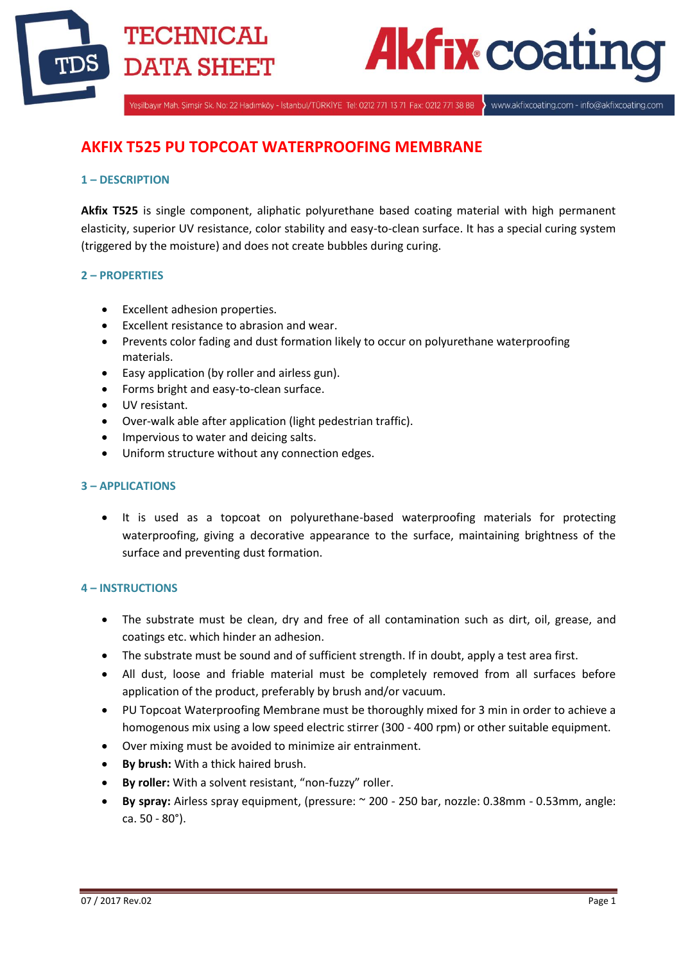

# **Akfix coatir**

Yeşilbayır Mah. Şimşir Sk. No: 22 Hadımköy - İstanbul/TÜRKİYE Tel: 0212 771 13 71 Fax: 0212 771 38 88

www.akfixcoating.com - info@akfixcoating.com

# **AKFIX T525 PU TOPCOAT WATERPROOFING MEMBRANE**

# **1 – DESCRIPTION**

**Akfix T525** is single component, aliphatic polyurethane based coating material with high permanent elasticity, superior UV resistance, color stability and easy-to-clean surface. It has a special curing system (triggered by the moisture) and does not create bubbles during curing.

# **2 – PROPERTIES**

- Excellent adhesion properties.
- Excellent resistance to abrasion and wear.
- Prevents color fading and dust formation likely to occur on polyurethane waterproofing materials.
- Easy application (by roller and airless gun).
- Forms bright and easy-to-clean surface.
- UV resistant.
- Over-walk able after application (light pedestrian traffic).
- Impervious to water and deicing salts.
- Uniform structure without any connection edges.

#### **3 – APPLICATIONS**

 It is used as a topcoat on polyurethane-based waterproofing materials for protecting waterproofing, giving a decorative appearance to the surface, maintaining brightness of the surface and preventing dust formation.

#### **4 – INSTRUCTIONS**

- The substrate must be clean, dry and free of all contamination such as dirt, oil, grease, and coatings etc. which hinder an adhesion.
- The substrate must be sound and of sufficient strength. If in doubt, apply a test area first.
- All dust, loose and friable material must be completely removed from all surfaces before application of the product, preferably by brush and/or vacuum.
- PU Topcoat Waterproofing Membrane must be thoroughly mixed for 3 min in order to achieve a homogenous mix using a low speed electric stirrer (300 - 400 rpm) or other suitable equipment.
- Over mixing must be avoided to minimize air entrainment.
- **By brush:** With a thick haired brush.
- **By roller:** With a solvent resistant, "non-fuzzy" roller.
- **By spray:** Airless spray equipment, (pressure: ~ 200 250 bar, nozzle: 0.38mm 0.53mm, angle: ca. 50 - 80°).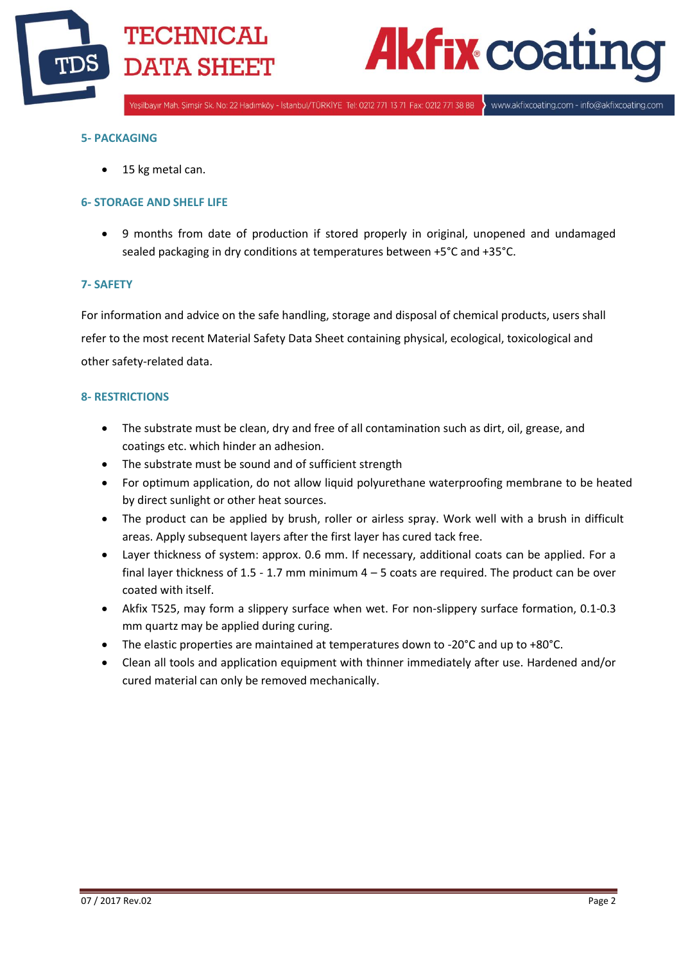

# **Akfix coatij**

Yeşilbayır Mah. Şimşir Sk. No: 22 Hadımköy - İstanbul/TÜRKİYE Tel: 0212 771 13 71 Fax: 0212 771 38 88

www.akfixcoating.com - info@akfixcoating.com

#### **5- PACKAGING**

• 15 kg metal can.

# **6- STORAGE AND SHELF LIFE**

 9 months from date of production if stored properly in original, unopened and undamaged sealed packaging in dry conditions at temperatures between +5°C and +35°C.

# **7- SAFETY**

For information and advice on the safe handling, storage and disposal of chemical products, users shall refer to the most recent Material Safety Data Sheet containing physical, ecological, toxicological and other safety-related data.

#### **8- RESTRICTIONS**

- The substrate must be clean, dry and free of all contamination such as dirt, oil, grease, and coatings etc. which hinder an adhesion.
- The substrate must be sound and of sufficient strength
- For optimum application, do not allow liquid polyurethane waterproofing membrane to be heated by direct sunlight or other heat sources.
- The product can be applied by brush, roller or airless spray. Work well with a brush in difficult areas. Apply subsequent layers after the first layer has cured tack free.
- Layer thickness of system: approx. 0.6 mm. If necessary, additional coats can be applied. For a final layer thickness of  $1.5 - 1.7$  mm minimum  $4 - 5$  coats are required. The product can be over coated with itself.
- Akfix T525, may form a slippery surface when wet. For non-slippery surface formation, 0.1-0.3 mm quartz may be applied during curing.
- The elastic properties are maintained at temperatures down to -20°C and up to +80°C.
- Clean all tools and application equipment with thinner immediately after use. Hardened and/or cured material can only be removed mechanically.